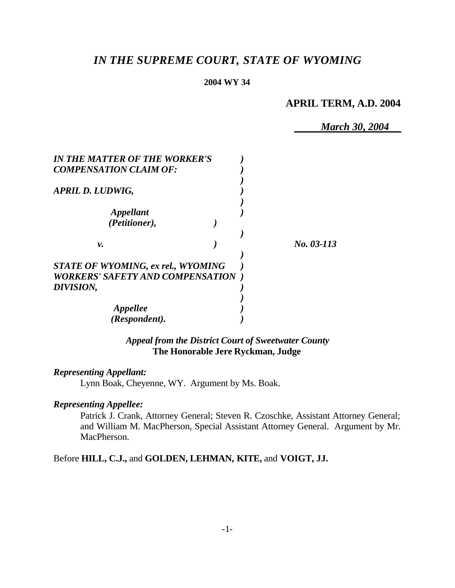# *IN THE SUPREME COURT, STATE OF WYOMING*

#### **2004 WY 34**

# **APRIL TERM, A.D. 2004**

*March 30, 2004*

| <b>IN THE MATTER OF THE WORKER'S</b>      |            |
|-------------------------------------------|------------|
| <b>COMPENSATION CLAIM OF:</b>             |            |
| APRIL D. LUDWIG,                          |            |
| Appellant                                 |            |
| (Petitioner),                             |            |
| ν.                                        | No. 03-113 |
| <b>STATE OF WYOMING, ex rel., WYOMING</b> |            |
| <b>WORKERS' SAFETY AND COMPENSATION</b>   |            |
| DIVISION,                                 |            |
|                                           |            |
| <i><b>Appellee</b></i>                    |            |
| (Respondent).                             |            |

*Appeal from the District Court of Sweetwater County* **The Honorable Jere Ryckman, Judge**

### *Representing Appellant:*

Lynn Boak, Cheyenne, WY. Argument by Ms. Boak.

#### *Representing Appellee:*

Patrick J. Crank, Attorney General; Steven R. Czoschke, Assistant Attorney General; and William M. MacPherson, Special Assistant Attorney General. Argument by Mr. MacPherson.

Before **HILL, C.J.,** and **GOLDEN, LEHMAN, KITE,** and **VOIGT, JJ.**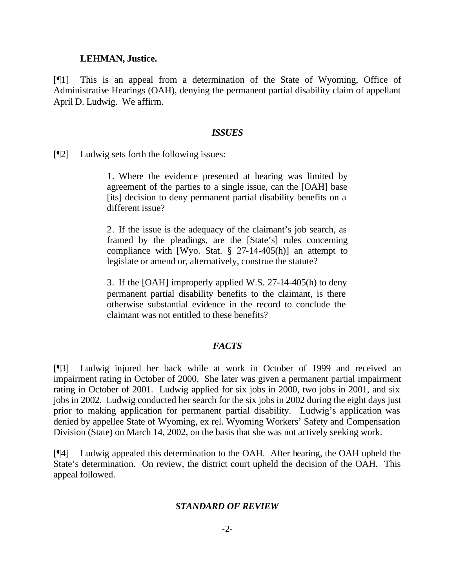#### **LEHMAN, Justice.**

[¶1] This is an appeal from a determination of the State of Wyoming, Office of Administrative Hearings (OAH), denying the permanent partial disability claim of appellant April D. Ludwig. We affirm.

#### *ISSUES*

[¶2] Ludwig sets forth the following issues:

1. Where the evidence presented at hearing was limited by agreement of the parties to a single issue, can the [OAH] base [its] decision to deny permanent partial disability benefits on a different issue?

2. If the issue is the adequacy of the claimant's job search, as framed by the pleadings, are the [State's] rules concerning compliance with [Wyo. Stat. § 27-14-405(h)] an attempt to legislate or amend or, alternatively, construe the statute?

3. If the [OAH] improperly applied W.S. 27-14-405(h) to deny permanent partial disability benefits to the claimant, is there otherwise substantial evidence in the record to conclude the claimant was not entitled to these benefits?

### *FACTS*

[¶3] Ludwig injured her back while at work in October of 1999 and received an impairment rating in October of 2000. She later was given a permanent partial impairment rating in October of 2001. Ludwig applied for six jobs in 2000, two jobs in 2001, and six jobs in 2002. Ludwig conducted her search for the six jobs in 2002 during the eight days just prior to making application for permanent partial disability. Ludwig's application was denied by appellee State of Wyoming, ex rel. Wyoming Workers' Safety and Compensation Division (State) on March 14, 2002, on the basis that she was not actively seeking work.

[¶4] Ludwig appealed this determination to the OAH. After hearing, the OAH upheld the State's determination. On review, the district court upheld the decision of the OAH. This appeal followed.

### *STANDARD OF REVIEW*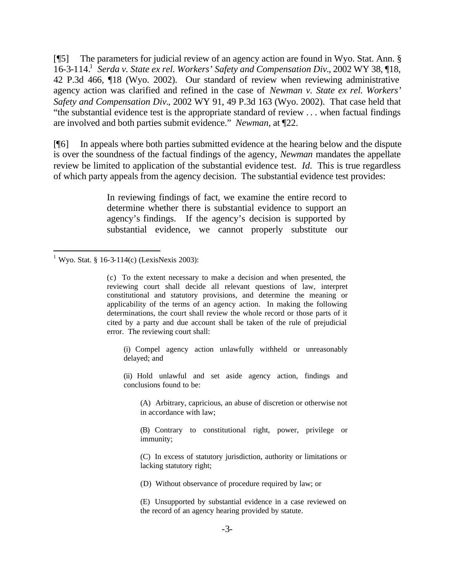[¶5] The parameters for judicial review of an agency action are found in Wyo. Stat. Ann. § 16-3-114.<sup>1</sup> Serda v. State ex rel. Workers' Safety and Compensation Div., 2002 WY 38, 18, 42 P.3d 466, ¶18 (Wyo. 2002). Our standard of review when reviewing administrative agency action was clarified and refined in the case of *Newman v. State ex rel. Workers' Safety and Compensation Div.*, 2002 WY 91, 49 P.3d 163 (Wyo. 2002). That case held that "the substantial evidence test is the appropriate standard of review . . . when factual findings are involved and both parties submit evidence." *Newman*, at ¶22.

[¶6] In appeals where both parties submitted evidence at the hearing below and the dispute is over the soundness of the factual findings of the agency, *Newman* mandates the appellate review be limited to application of the substantial evidence test. *Id.* This is true regardless of which party appeals from the agency decision. The substantial evidence test provides:

> In reviewing findings of fact, we examine the entire record to determine whether there is substantial evidence to support an agency's findings. If the agency's decision is supported by substantial evidence, we cannot properly substitute our

l

(i) Compel agency action unlawfully withheld or unreasonably delayed; and

(ii) Hold unlawful and set aside agency action, findings and conclusions found to be:

(A) Arbitrary, capricious, an abuse of discretion or otherwise not in accordance with law;

(B) Contrary to constitutional right, power, privilege or immunity;

(C) In excess of statutory jurisdiction, authority or limitations or lacking statutory right;

(D) Without observance of procedure required by law; or

(E) Unsupported by substantial evidence in a case reviewed on the record of an agency hearing provided by statute.

<sup>&</sup>lt;sup>1</sup> Wyo. Stat. § 16-3-114(c) (LexisNexis 2003):

<sup>(</sup>c) To the extent necessary to make a decision and when presented, the reviewing court shall decide all relevant questions of law, interpret constitutional and statutory provisions, and determine the meaning or applicability of the terms of an agency action. In making the following determinations, the court shall review the whole record or those parts of it cited by a party and due account shall be taken of the rule of prejudicial error. The reviewing court shall: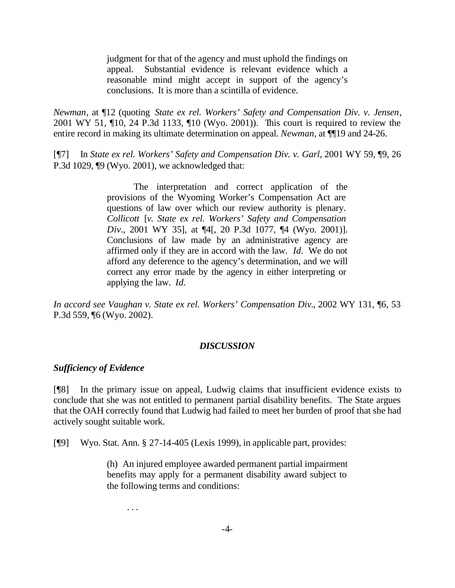judgment for that of the agency and must uphold the findings on appeal. Substantial evidence is relevant evidence which a reasonable mind might accept in support of the agency's conclusions. It is more than a scintilla of evidence.

*Newman*, at ¶12 (quoting *State ex rel. Workers' Safety and Compensation Div. v. Jensen*, 2001 WY 51, ¶10, 24 P.3d 1133, ¶10 (Wyo. 2001)). This court is required to review the entire record in making its ultimate determination on appeal. *Newman*, at ¶[19 and 24-26.

[¶7] In *State ex rel. Workers' Safety and Compensation Div. v. Garl*, 2001 WY 59, ¶9, 26 P.3d 1029, ¶9 (Wyo. 2001), we acknowledged that:

> The interpretation and correct application of the provisions of the Wyoming Worker's Compensation Act are questions of law over which our review authority is plenary. *Collicott* [*v. State ex rel. Workers' Safety and Compensation Div.*, 2001 WY 35], at ¶4[, 20 P.3d 1077, ¶4 (Wyo. 2001)]. Conclusions of law made by an administrative agency are affirmed only if they are in accord with the law. *Id.* We do not afford any deference to the agency's determination, and we will correct any error made by the agency in either interpreting or applying the law. *Id.*

*In accord see Vaughan v. State ex rel. Workers' Compensation Div.*, 2002 WY 131, ¶6, 53 P.3d 559, ¶6 (Wyo. 2002).

## *DISCUSSION*

## *Sufficiency of Evidence*

[¶8] In the primary issue on appeal, Ludwig claims that insufficient evidence exists to conclude that she was not entitled to permanent partial disability benefits. The State argues that the OAH correctly found that Ludwig had failed to meet her burden of proof that she had actively sought suitable work.

[¶9] Wyo. Stat. Ann. § 27-14-405 (Lexis 1999), in applicable part, provides:

(h) An injured employee awarded permanent partial impairment benefits may apply for a permanent disability award subject to the following terms and conditions:

. . .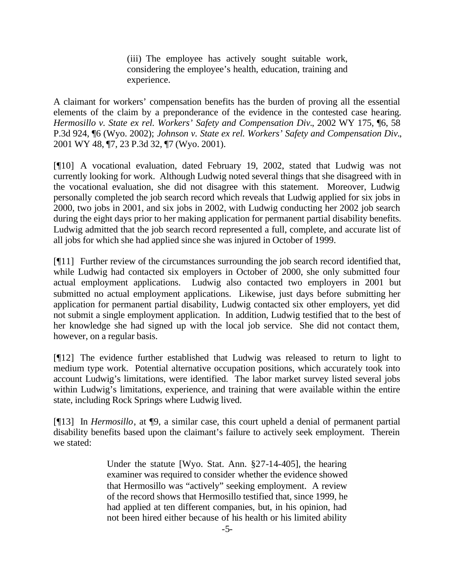(iii) The employee has actively sought suitable work, considering the employee's health, education, training and experience.

A claimant for workers' compensation benefits has the burden of proving all the essential elements of the claim by a preponderance of the evidence in the contested case hearing. *Hermosillo v. State ex rel. Workers' Safety and Compensation Div.*, 2002 WY 175, ¶6, 58 P.3d 924, ¶6 (Wyo. 2002); *Johnson v. State ex rel. Workers' Safety and Compensation Div.*, 2001 WY 48, ¶7, 23 P.3d 32, ¶7 (Wyo. 2001).

[¶10] A vocational evaluation, dated February 19, 2002, stated that Ludwig was not currently looking for work. Although Ludwig noted several things that she disagreed with in the vocational evaluation, she did not disagree with this statement. Moreover, Ludwig personally completed the job search record which reveals that Ludwig applied for six jobs in 2000, two jobs in 2001, and six jobs in 2002, with Ludwig conducting her 2002 job search during the eight days prior to her making application for permanent partial disability benefits. Ludwig admitted that the job search record represented a full, complete, and accurate list of all jobs for which she had applied since she was injured in October of 1999.

[¶11] Further review of the circumstances surrounding the job search record identified that, while Ludwig had contacted six employers in October of 2000, she only submitted four actual employment applications. Ludwig also contacted two employers in 2001 but submitted no actual employment applications. Likewise, just days before submitting her application for permanent partial disability, Ludwig contacted six other employers, yet did not submit a single employment application. In addition, Ludwig testified that to the best of her knowledge she had signed up with the local job service. She did not contact them, however, on a regular basis.

[¶12] The evidence further established that Ludwig was released to return to light to medium type work. Potential alternative occupation positions, which accurately took into account Ludwig's limitations, were identified. The labor market survey listed several jobs within Ludwig's limitations, experience, and training that were available within the entire state, including Rock Springs where Ludwig lived.

[¶13] In *Hermosillo*, at ¶9, a similar case, this court upheld a denial of permanent partial disability benefits based upon the claimant's failure to actively seek employment. Therein we stated:

> Under the statute [Wyo. Stat. Ann. §27-14-405], the hearing examiner was required to consider whether the evidence showed that Hermosillo was "actively" seeking employment. A review of the record shows that Hermosillo testified that, since 1999, he had applied at ten different companies, but, in his opinion, had not been hired either because of his health or his limited ability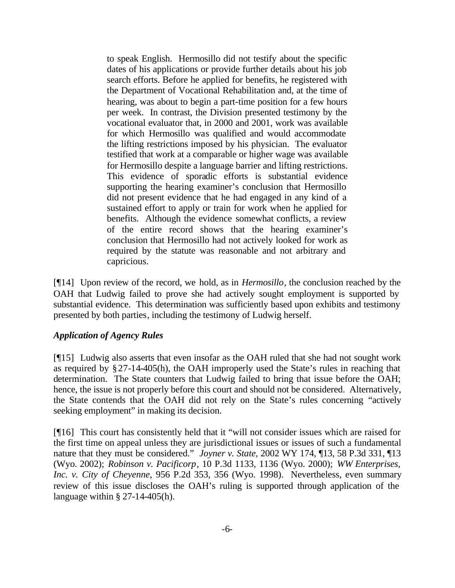to speak English. Hermosillo did not testify about the specific dates of his applications or provide further details about his job search efforts. Before he applied for benefits, he registered with the Department of Vocational Rehabilitation and, at the time of hearing, was about to begin a part-time position for a few hours per week. In contrast, the Division presented testimony by the vocational evaluator that, in 2000 and 2001, work was available for which Hermosillo was qualified and would accommodate the lifting restrictions imposed by his physician. The evaluator testified that work at a comparable or higher wage was available for Hermosillo despite a language barrier and lifting restrictions. This evidence of sporadic efforts is substantial evidence supporting the hearing examiner's conclusion that Hermosillo did not present evidence that he had engaged in any kind of a sustained effort to apply or train for work when he applied for benefits. Although the evidence somewhat conflicts, a review of the entire record shows that the hearing examiner's conclusion that Hermosillo had not actively looked for work as required by the statute was reasonable and not arbitrary and capricious.

[¶14] Upon review of the record, we hold, as in *Hermosillo*, the conclusion reached by the OAH that Ludwig failed to prove she had actively sought employment is supported by substantial evidence. This determination was sufficiently based upon exhibits and testimony presented by both parties, including the testimony of Ludwig herself.

## *Application of Agency Rules*

[¶15] Ludwig also asserts that even insofar as the OAH ruled that she had not sought work as required by §27-14-405(h), the OAH improperly used the State's rules in reaching that determination. The State counters that Ludwig failed to bring that issue before the OAH; hence, the issue is not properly before this court and should not be considered. Alternatively, the State contends that the OAH did not rely on the State's rules concerning "actively seeking employment" in making its decision.

[¶16] This court has consistently held that it "will not consider issues which are raised for the first time on appeal unless they are jurisdictional issues or issues of such a fundamental nature that they must be considered." *Joyner v. State*, 2002 WY 174, ¶13, 58 P.3d 331, ¶13 (Wyo. 2002); *Robinson v. Pacificorp*, 10 P.3d 1133, 1136 (Wyo. 2000); *WW Enterprises, Inc. v. City of Cheyenne*, 956 P.2d 353, 356 (Wyo. 1998). Nevertheless, even summary review of this issue discloses the OAH's ruling is supported through application of the language within  $\S 27-14-405(h)$ .